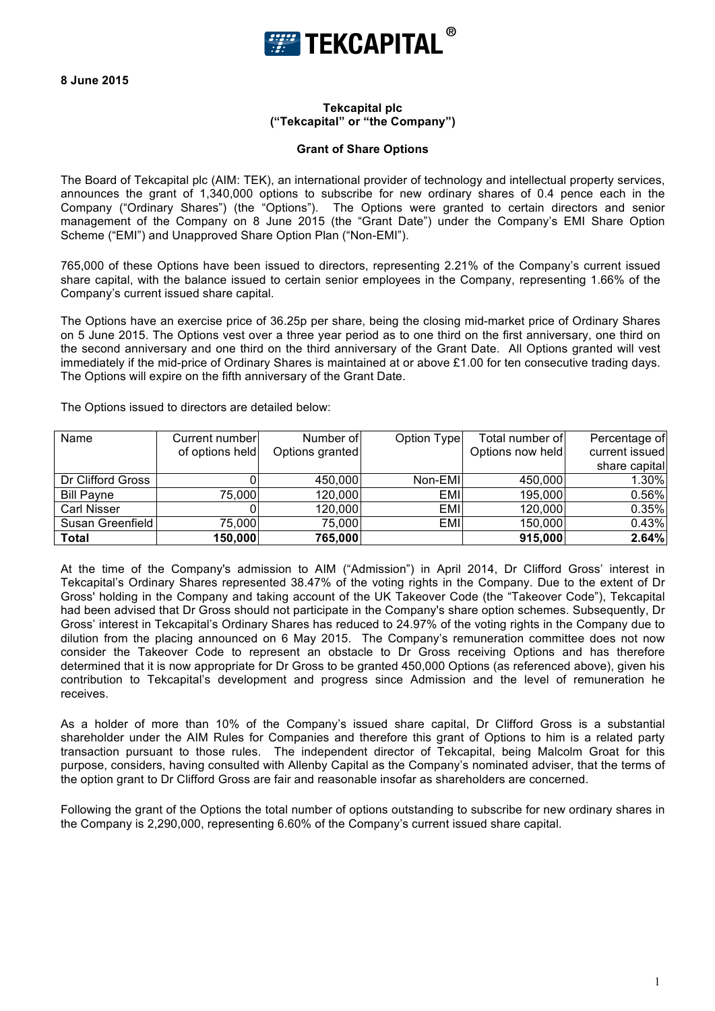

**8 June 2015**

## **Tekcapital plc ("Tekcapital" or "the Company")**

## **Grant of Share Options**

The Board of Tekcapital plc (AIM: TEK), an international provider of technology and intellectual property services, announces the grant of 1,340,000 options to subscribe for new ordinary shares of 0.4 pence each in the Company ("Ordinary Shares") (the "Options"). The Options were granted to certain directors and senior management of the Company on 8 June 2015 (the "Grant Date") under the Company's EMI Share Option Scheme ("EMI") and Unapproved Share Option Plan ("Non-EMI").

765,000 of these Options have been issued to directors, representing 2.21% of the Company's current issued share capital, with the balance issued to certain senior employees in the Company, representing 1.66% of the Company's current issued share capital.

The Options have an exercise price of 36.25p per share, being the closing mid-market price of Ordinary Shares on 5 June 2015. The Options vest over a three year period as to one third on the first anniversary, one third on the second anniversary and one third on the third anniversary of the Grant Date. All Options granted will vest immediately if the mid-price of Ordinary Shares is maintained at or above £1.00 for ten consecutive trading days. The Options will expire on the fifth anniversary of the Grant Date.

| Name               | Current numberl | Number of       | Option Type | Total number of  | Percentage of  |
|--------------------|-----------------|-----------------|-------------|------------------|----------------|
|                    | of options held | Options granted |             | Options now held | current issued |
|                    |                 |                 |             |                  | share capital  |
| Dr Clifford Gross  |                 | 450,000         | Non-EMI     | 450,000          | 1.30%          |
| <b>Bill Payne</b>  | 75,000          | 120,000         | <b>EMI</b>  | 195,000          | 0.56%          |
| <b>Carl Nisser</b> |                 | 120,000         | <b>EMI</b>  | 120,000          | 0.35%          |
| Susan Greenfield   | 75,000          | 75,000          | <b>EMI</b>  | 150,000          | 0.43%          |
| Total              | 150,000         | 765,000         |             | 915,000          | 2.64%          |

The Options issued to directors are detailed below:

At the time of the Company's admission to AIM ("Admission") in April 2014, Dr Clifford Gross' interest in Tekcapital's Ordinary Shares represented 38.47% of the voting rights in the Company. Due to the extent of Dr Gross' holding in the Company and taking account of the UK Takeover Code (the "Takeover Code"), Tekcapital had been advised that Dr Gross should not participate in the Company's share option schemes. Subsequently, Dr Gross' interest in Tekcapital's Ordinary Shares has reduced to 24.97% of the voting rights in the Company due to dilution from the placing announced on 6 May 2015. The Company's remuneration committee does not now consider the Takeover Code to represent an obstacle to Dr Gross receiving Options and has therefore determined that it is now appropriate for Dr Gross to be granted 450,000 Options (as referenced above), given his contribution to Tekcapital's development and progress since Admission and the level of remuneration he receives.

As a holder of more than 10% of the Company's issued share capital, Dr Clifford Gross is a substantial shareholder under the AIM Rules for Companies and therefore this grant of Options to him is a related party transaction pursuant to those rules. The independent director of Tekcapital, being Malcolm Groat for this purpose, considers, having consulted with Allenby Capital as the Company's nominated adviser, that the terms of the option grant to Dr Clifford Gross are fair and reasonable insofar as shareholders are concerned.

Following the grant of the Options the total number of options outstanding to subscribe for new ordinary shares in the Company is 2,290,000, representing 6.60% of the Company's current issued share capital.